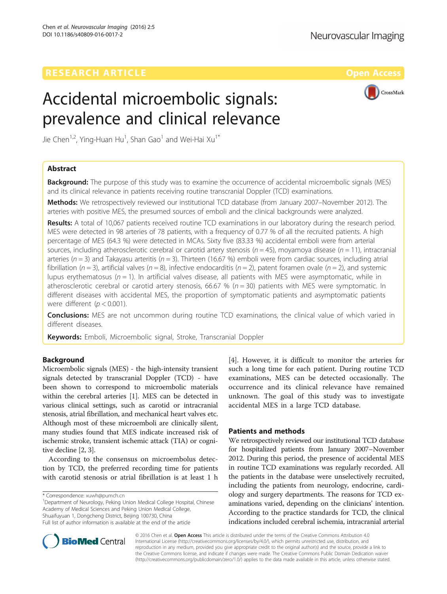# Accidental microembolic signals: prevalence and clinical relevance



Jie Chen<sup>1,2</sup>, Ying-Huan Hu<sup>1</sup>, Shan Gao<sup>1</sup> and Wei-Hai Xu<sup>1\*</sup>

# Abstract

**Background:** The purpose of this study was to examine the occurrence of accidental microembolic signals (MES) and its clinical relevance in patients receiving routine transcranial Doppler (TCD) examinations.

Methods: We retrospectively reviewed our institutional TCD database (from January 2007–November 2012). The arteries with positive MES, the presumed sources of emboli and the clinical backgrounds were analyzed.

Results: A total of 10,067 patients received routine TCD examinations in our laboratory during the research period. MES were detected in 98 arteries of 78 patients, with a frequency of 0.77 % of all the recruited patients. A high percentage of MES (64.3 %) were detected in MCAs. Sixty five (83.33 %) accidental emboli were from arterial sources, including atherosclerotic cerebral or carotid artery stenosis ( $n = 45$ ), moyamoya disease ( $n = 11$ ), intracranial arteries ( $n = 3$ ) and Takayasu arteritis ( $n = 3$ ). Thirteen (16.67 %) emboli were from cardiac sources, including atrial fibrillation ( $n = 3$ ), artificial valves ( $n = 8$ ), infective endocarditis ( $n = 2$ ), patent foramen ovale ( $n = 2$ ), and systemic lupus erythematosus ( $n = 1$ ). In artificial valves disease, all patients with MES were asymptomatic, while in atherosclerotic cerebral or carotid artery stenosis, 66.67 % ( $n = 30$ ) patients with MES were symptomatic. In different diseases with accidental MES, the proportion of symptomatic patients and asymptomatic patients were different ( $p < 0.001$ ).

**Conclusions:** MES are not uncommon during routine TCD examinations, the clinical value of which varied in different diseases.

**Keywords:** Emboli, Microembolic signal, Stroke, Transcranial Doppler

# Background

Microembolic signals (MES) - the high-intensity transient signals detected by transcranial Doppler (TCD) - have been shown to correspond to microembolic materials within the cerebral arteries [[1](#page-2-0)]. MES can be detected in various clinical settings, such as carotid or intracranial stenosis, atrial fibrillation, and mechanical heart valves etc. Although most of these microemboli are clinically silent, many studies found that MES indicate increased risk of ischemic stroke, transient ischemic attack (TIA) or cognitive decline [[2, 3](#page-2-0)].

According to the consensus on microembolus detection by TCD, the preferred recording time for patients with carotid stenosis or atrial fibrillation is at least 1 h

<sup>1</sup>Department of Neurology, Peking Union Medical College Hospital, Chinese Academy of Medical Sciences and Peking Union Medical College, Shuaifuyuan 1, Dongcheng District, Beijing 100730, China Full list of author information is available at the end of the article

[[4\]](#page-2-0). However, it is difficult to monitor the arteries for such a long time for each patient. During routine TCD examinations, MES can be detected occasionally. The occurrence and its clinical relevance have remained unknown. The goal of this study was to investigate accidental MES in a large TCD database.

# Patients and methods

We retrospectively reviewed our institutional TCD database for hospitalized patients from January 2007–November 2012. During this period, the presence of accidental MES in routine TCD examinations was regularly recorded. All the patients in the database were unselectively recruited, including the patients from neurology, endocrine, cardiology and surgery departments. The reasons for TCD examinations varied, depending on the clinicians' intention. According to the practice standards for TCD, the clinical indications included cerebral ischemia, intracranial arterial



© 2016 Chen et al. Open Access This article is distributed under the terms of the Creative Commons Attribution 4.0 International License [\(http://creativecommons.org/licenses/by/4.0/](http://creativecommons.org/licenses/by/4.0/)), which permits unrestricted use, distribution, and reproduction in any medium, provided you give appropriate credit to the original author(s) and the source, provide a link to the Creative Commons license, and indicate if changes were made. The Creative Commons Public Domain Dedication waiver [\(http://creativecommons.org/publicdomain/zero/1.0/](http://creativecommons.org/publicdomain/zero/1.0/)) applies to the data made available in this article, unless otherwise stated.

<sup>\*</sup> Correspondence: [xuwh@pumch.cn](mailto:xuwh@pumch.cn) <sup>1</sup>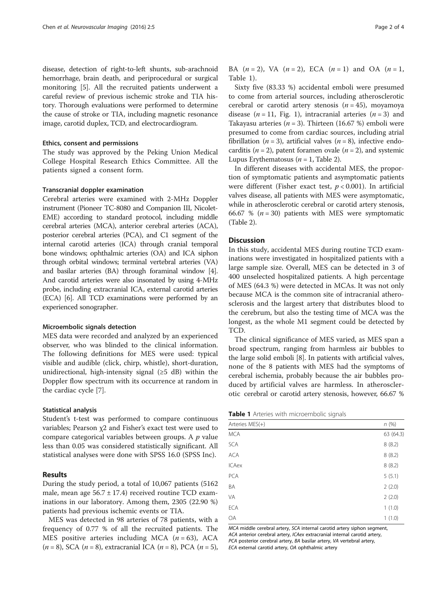disease, detection of right-to-left shunts, sub-arachnoid hemorrhage, brain death, and periprocedural or surgical monitoring [\[5\]](#page-2-0). All the recruited patients underwent a careful review of previous ischemic stroke and TIA history. Thorough evaluations were performed to determine the cause of stroke or TIA, including magnetic resonance image, carotid duplex, TCD, and electrocardiogram.

# Ethics, consent and permissions

The study was approved by the Peking Union Medical College Hospital Research Ethics Committee. All the patients signed a consent form.

#### Transcranial doppler examination

Cerebral arteries were examined with 2-MHz Doppler instrument (Pioneer TC-8080 and Companion III, Nicolet-EME) according to standard protocol, including middle cerebral arteries (MCA), anterior cerebral arteries (ACA), posterior cerebral arteries (PCA), and C1 segment of the internal carotid arteries (ICA) through cranial temporal bone windows; ophthalmic arteries (OA) and ICA siphon through orbital windows; terminal vertebral arteries (VA) and basilar arteries (BA) through foraminal window [[4](#page-2-0)]. And carotid arteries were also insonated by using 4-MHz probe, including extracranial ICA, external carotid arteries (ECA) [[6](#page-2-0)]. All TCD examinations were performed by an experienced sonographer.

#### Microembolic signals detection

MES data were recorded and analyzed by an experienced observer, who was blinded to the clinical information. The following definitions for MES were used: typical visible and audible (click, chirp, whistle), short-duration, unidirectional, high-intensity signal  $(\geq 5$  dB) within the Doppler flow spectrum with its occurrence at random in the cardiac cycle [[7\]](#page-3-0).

#### Statistical analysis

Student's t-test was performed to compare continuous variables; Pearson χ2 and Fisher's exact test were used to compare categorical variables between groups. A  $p$  value less than 0.05 was considered statistically significant. All statistical analyses were done with SPSS 16.0 (SPSS Inc).

## Results

During the study period, a total of 10,067 patients (5162 male, mean age  $56.7 \pm 17.4$ ) received routine TCD examinations in our laboratory. Among them, 2305 (22.90 %) patients had previous ischemic events or TIA.

MES was detected in 98 arteries of 78 patients, with a frequency of 0.77 % of all the recruited patients. The MES positive arteries including MCA  $(n = 63)$ , ACA  $(n = 8)$ , SCA  $(n = 8)$ , extracranial ICA  $(n = 8)$ , PCA  $(n = 5)$ , BA  $(n = 2)$ , VA  $(n = 2)$ , ECA  $(n = 1)$  and OA  $(n = 1)$ , Table 1).

Sixty five (83.33 %) accidental emboli were presumed to come from arterial sources, including atherosclerotic cerebral or carotid artery stenosis  $(n = 45)$ , moyamoya disease ( $n = 11$ , Fig. [1\)](#page-2-0), intracranial arteries ( $n = 3$ ) and Takayasu arteries ( $n = 3$ ). Thirteen (16.67 %) emboli were presumed to come from cardiac sources, including atrial fibrillation ( $n = 3$ ), artificial valves ( $n = 8$ ), infective endocarditis ( $n = 2$ ), patent foramen ovale ( $n = 2$ ), and systemic Lupus Erythematosus ( $n = 1$ , Table [2\)](#page-2-0).

In different diseases with accidental MES, the proportion of symptomatic patients and asymptomatic patients were different (Fisher exact test,  $p < 0.001$ ). In artificial valves disease, all patients with MES were asymptomatic, while in atherosclerotic cerebral or carotid artery stenosis, 66.67 % ( $n = 30$ ) patients with MES were symptomatic (Table [2](#page-2-0)).

# Discussion

In this study, accidental MES during routine TCD examinations were investigated in hospitalized patients with a large sample size. Overall, MES can be detected in 3 of 400 unselected hospitalized patients. A high percentage of MES (64.3 %) were detected in MCAs. It was not only because MCA is the common site of intracranial atherosclerosis and the largest artery that distributes blood to the cerebrum, but also the testing time of MCA was the longest, as the whole M1 segment could be detected by TCD.

The clinical significance of MES varied, as MES span a broad spectrum, ranging from harmless air bubbles to the large solid emboli [[8\]](#page-3-0). In patients with artificial valves, none of the 8 patients with MES had the symptoms of cerebral ischemia, probably because the air bubbles produced by artificial valves are harmless. In atherosclerotic cerebral or carotid artery stenosis, however, 66.67 %

Table 1 Arteries with microembolic signals

| Arteries MES(+) | n(%)      |
|-----------------|-----------|
| <b>MCA</b>      | 63 (64.3) |
| SCA             | 8(8.2)    |
| <b>ACA</b>      | 8(8.2)    |
| <b>ICAex</b>    | 8(8.2)    |
| PCA             | 5(5.1)    |
| BA              | 2(2.0)    |
| VA              | 2(2.0)    |
| ECA             | 1(1.0)    |
| OA              | 1(1.0)    |
|                 |           |

MCA middle cerebral artery, SCA internal carotid artery siphon segment, ACA anterior cerebral artery, ICAex extracranial internal carotid artery, PCA posterior cerebral artery, BA basilar artery, VA vertebral artery, ECA external carotid artery, OA ophthalmic artery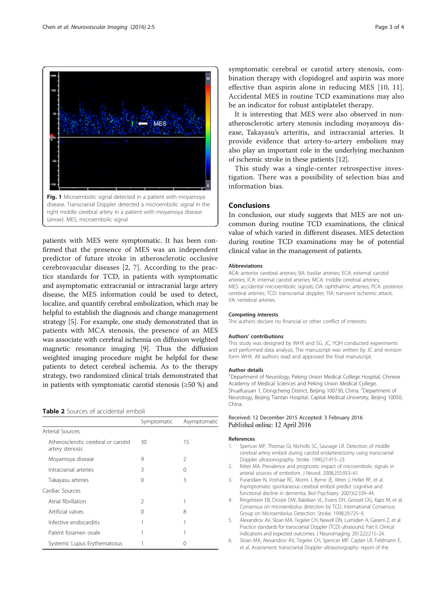<span id="page-2-0"></span>

patients with MES were symptomatic. It has been confirmed that the presence of MES was an independent predictor of future stroke in atherosclerotic occlusive cerebrovascular diseases [2, [7\]](#page-3-0). According to the practice standards for TCD, in patients with symptomatic and asymptomatic extracranial or intracranial large artery disease, the MES information could be used to detect, localize, and quantify cerebral embolization, which may be helpful to establish the diagnosis and change management strategy [5]. For example, one study demonstrated that in patients with MCA stenosis, the presence of an MES was associate with cerebral ischemia on diffusion weighted magnetic resonance imaging [\[9](#page-3-0)]. Thus the diffusion weighted imaging procedure might be helpful for these patients to detect cerebral ischemia. As to the therapy strategy, two randomized clinical trials demonstrated that in patients with symptomatic carotid stenosis (≥50 %) and

#### Table 2 Sources of accidental emboli

|                                                        | Symptomatic   | Asymptomatic   |
|--------------------------------------------------------|---------------|----------------|
| Arterial Sources                                       |               |                |
| Atherosclerotic cerebral or carotid<br>artery stenosis | 30            | 15             |
| Moyamoya disease                                       | 9             | $\mathfrak{D}$ |
| Intracranial arteries                                  | 3             | 0              |
| Takayasu arteries                                      | 0             | 3              |
| Cardiac Sources                                        |               |                |
| Atrial fibrillation                                    | $\mathcal{P}$ |                |
| Artificial valves                                      | 0             | 8              |
| Infective endocarditis                                 |               |                |
| Patent foramen ovale                                   | 1             |                |
| Systemic Lupus Erythematosus                           |               |                |

symptomatic cerebral or carotid artery stenosis, combination therapy with clopidogrel and aspirin was more effective than aspirin alone in reducing MES [[10, 11](#page-3-0)]. Accidental MES in routine TCD examinations may also be an indicator for robust antiplatelet therapy.

It is interesting that MES were also observed in nonatherosclerotic artery stenosis including moyamoya disease, Takayasu's arteritis, and intracranial arteries. It provide evidence that artery-to-artery embolism may also play an important role in the underlying mechanism of ischemic stroke in these patients [[12](#page-3-0)].

This study was a single-center retrospective investigation. There was a possibility of selection bias and information bias.

## Conclusions

In conclusion, our study suggests that MES are not uncommon during routine TCD examinations, the clinical value of which varied in different diseases. MES detection during routine TCD examinations may be of potential clinical value in the management of patients.

#### **Abbreviations**

ACA: anterior cerebral arteries; BA: basilar arteries; ECA: external carotid arteries; ICA: internal carotid arteries; MCA: middle cerebral arteries; MES: accidental microembolic signals; OA: ophthalmic arteries; PCA: posterior cerebral arteries; TCD: transcranial doppler; TIA: transient ischemic attack; VA: vertebral arteries.

#### Competing interests

The authors declare no financial or other conflict of interests.

#### Authors' contributions

This study was designed by WHX and SG. JC, YQH conducted experiments and performed data analysis. The manuscript was written by JC and revision form WHX. All authors read and approved the final manuscript.

#### Author details

<sup>1</sup>Department of Neurology, Peking Union Medical College Hospital, Chinese Academy of Medical Sciences and Peking Union Medical College, Shuaifuyuan 1, Dongcheng District, Beijing 100730, China. <sup>2</sup>Department of Neurology, Beijing Tiantan Hospital, Capital Medical University, Beijing 10050, China.

#### Received: 12 December 2015 Accepted: 3 February 2016 Published online: 12 April 2016

#### References

- 1. Spencer MP, Thomas GI, Nicholls SC, Sauvage LR. Detection of middle cerebral artery emboli during carotid endarterectomy using transcranial Doppler ultrasonography. Stroke. 1990;21:415–23.
- 2. Ritter MA. Prevalence and prognostic impact of microembolic signals in arterial sources of embolism. J Neurol. 2008;255:953–61.
- 3. Purandare N, Voshaar RC, Morris J, Byrne JE, Wren J, Heller RF, et al. Asymptomatic spontaneous cerebral emboli predict cognitive and functional decline in dementia. Biol Psychiatry. 2007;62:339–44.
- 4. Ringelstein EB, Droste DW, Babikian VL, Evans DH, Grosset DG, Kaps M, et al. Consensus on microembolus detection by TCD. International Consensus Group on Microembolus Detection. Stroke. 1998;29:725–9.
- 5. Alexandrov AV, Sloan MA, Tegeler CH, Newell DN, Lumsden A, Garami Z, et al. Practice standards for transcranial Doppler (TCD) ultrasound. Part II. Clinical indications and expected outcomes. J Neuroimaging. 2012;22:215–24.
- 6. Sloan MA, Alexandrov AV, Tegeler CH, Spencer MP, Caplan LR, Feldmann E, et al. Assessment: transcranial Doppler ultrasonography: report of the